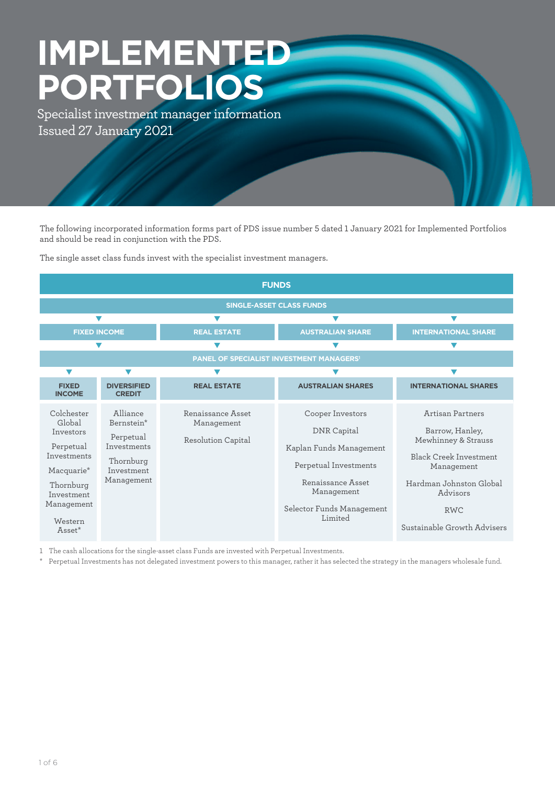# **IMPLEMENTED PORTFOLIOS** Specialist investment manager information Issued 27 January 2021

The following incorporated information forms part of PDS issue number 5 dated 1 January 2021 for Implemented Portfolios and should be read in conjunction with the PDS.

The single asset class funds invest with the specialist investment managers.

| <b>FUNDS</b>                                                                                                                                          |                                                                                             |                                                       |                                                                                                                                                                |                                                                                                                                                                                               |  |
|-------------------------------------------------------------------------------------------------------------------------------------------------------|---------------------------------------------------------------------------------------------|-------------------------------------------------------|----------------------------------------------------------------------------------------------------------------------------------------------------------------|-----------------------------------------------------------------------------------------------------------------------------------------------------------------------------------------------|--|
| <b>SINGLE-ASSET CLASS FUNDS</b>                                                                                                                       |                                                                                             |                                                       |                                                                                                                                                                |                                                                                                                                                                                               |  |
|                                                                                                                                                       |                                                                                             |                                                       |                                                                                                                                                                |                                                                                                                                                                                               |  |
| <b>FIXED INCOME</b>                                                                                                                                   |                                                                                             | <b>REAL ESTATE</b>                                    | <b>AUSTRALIAN SHARE</b>                                                                                                                                        | <b>INTERNATIONAL SHARE</b>                                                                                                                                                                    |  |
|                                                                                                                                                       |                                                                                             |                                                       |                                                                                                                                                                |                                                                                                                                                                                               |  |
| PANEL OF SPECIALIST INVESTMENT MANAGERS <sup>1</sup>                                                                                                  |                                                                                             |                                                       |                                                                                                                                                                |                                                                                                                                                                                               |  |
| $\blacktriangledown$                                                                                                                                  |                                                                                             |                                                       |                                                                                                                                                                |                                                                                                                                                                                               |  |
| <b>FIXED</b><br><b>INCOME</b>                                                                                                                         | <b>DIVERSIFIED</b><br><b>CREDIT</b>                                                         | <b>REAL ESTATE</b>                                    | <b>AUSTRALIAN SHARES</b>                                                                                                                                       | <b>INTERNATIONAL SHARES</b>                                                                                                                                                                   |  |
| Colchester<br>Global<br>Investors<br>Perpetual<br>Investments<br>Macquarie <sup>*</sup><br>Thornburg<br>Investment<br>Management<br>Western<br>Asset* | Alliance<br>Bernstein*<br>Perpetual<br>Investments<br>Thornburg<br>Investment<br>Management | Renaissance Asset<br>Management<br>Resolution Capital | Cooper Investors<br>DNR Capital<br>Kaplan Funds Management<br>Perpetual Investments<br>Renaissance Asset<br>Management<br>Selector Funds Management<br>Limited | Artisan Partners<br>Barrow, Hanley,<br>Mewhinney & Strauss<br><b>Black Creek Investment</b><br>Management<br>Hardman Johnston Global<br>Advisors<br><b>RWC</b><br>Sustainable Growth Advisers |  |

1 The cash allocations for the single-asset class Funds are invested with Perpetual Investments.

\* Perpetual Investments has not delegated investment powers to this manager, rather it has selected the strategy in the managers wholesale fund.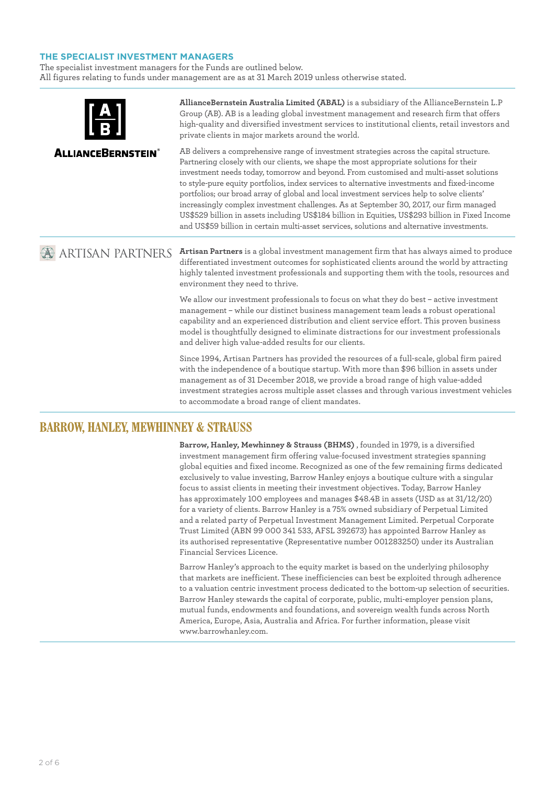# **THE SPECIALIST INVESTMENT MANAGERS**

The specialist investment managers for the Funds are outlined below. All figures relating to funds under management are as at 31 March 2019 unless otherwise stated.

|                           | AllianceBernstein Australia Limited (ABAL) is a subsidiary of the AllianceBernstein L.P<br>Group (AB). AB is a leading global investment management and research firm that offers<br>high-quality and diversified investment services to institutional clients, retail investors and<br>private clients in major markets around the world.                                                                                                                                                                                                                                                                                                                                                                                                                            |
|---------------------------|-----------------------------------------------------------------------------------------------------------------------------------------------------------------------------------------------------------------------------------------------------------------------------------------------------------------------------------------------------------------------------------------------------------------------------------------------------------------------------------------------------------------------------------------------------------------------------------------------------------------------------------------------------------------------------------------------------------------------------------------------------------------------|
| <b>ALLIANCEBERNSTEIN®</b> | AB delivers a comprehensive range of investment strategies across the capital structure.<br>Partnering closely with our clients, we shape the most appropriate solutions for their<br>investment needs today, tomorrow and beyond. From customised and multi-asset solutions<br>to style-pure equity portfolios, index services to alternative investments and fixed-income<br>portfolios; our broad array of global and local investment services help to solve clients'<br>increasingly complex investment challenges. As at September 30, 2017, our firm managed<br>US\$529 billion in assets including US\$184 billion in Equities, US\$293 billion in Fixed Income<br>and US\$59 billion in certain multi-asset services, solutions and alternative investments. |
| <b>ARTISAN PARTNERS</b>   | Artisan Partners is a global investment management firm that has always aimed to produce<br>differentiated investment outcomes for sophisticated clients around the world by attracting<br>highly talented investment professionals and supporting them with the tools, resources and<br>environment they need to thrive.                                                                                                                                                                                                                                                                                                                                                                                                                                             |
|                           | We allow our investment professionals to focus on what they do best - active investment<br>management - while our distinct business management team leads a robust operational<br>capability and an experienced distribution and client service effort. This proven business<br>model is thoughtfully designed to eliminate distractions for our investment professionals<br>and deliver high value-added results for our clients.                                                                                                                                                                                                                                                                                                                                    |
|                           | Since 1994, Artisan Partners has provided the resources of a full-scale, global firm paired<br>with the independence of a boutique startup. With more than \$96 billion in assets under<br>management as of 31 December 2018, we provide a broad range of high value-added<br>investment strategies across multiple asset classes and through various investment vehicles                                                                                                                                                                                                                                                                                                                                                                                             |

to accommodate a broad range of client mandates.

# **BARROW, HANLEY, MEWHINNEY & STRAUSS**

**Barrow, Hanley, Mewhinney & Strauss (BHMS)** , founded in 1979, is a diversified investment management firm offering value-focused investment strategies spanning global equities and fixed income. Recognized as one of the few remaining firms dedicated exclusively to value investing, Barrow Hanley enjoys a boutique culture with a singular focus to assist clients in meeting their investment objectives. Today, Barrow Hanley has approximately 100 employees and manages \$48.4B in assets (USD as at 31/12/20) for a variety of clients. Barrow Hanley is a 75% owned subsidiary of Perpetual Limited and a related party of Perpetual Investment Management Limited. Perpetual Corporate Trust Limited (ABN 99 000 341 533, AFSL 392673) has appointed Barrow Hanley as its authorised representative (Representative number 001283250) under its Australian Financial Services Licence.

Barrow Hanley's approach to the equity market is based on the underlying philosophy that markets are inefficient. These inefficiencies can best be exploited through adherence to a valuation centric investment process dedicated to the bottom-up selection of securities. Barrow Hanley stewards the capital of corporate, public, multi-employer pension plans, mutual funds, endowments and foundations, and sovereign wealth funds across North America, Europe, Asia, Australia and Africa. For further information, please visit www.barrowhanley.com.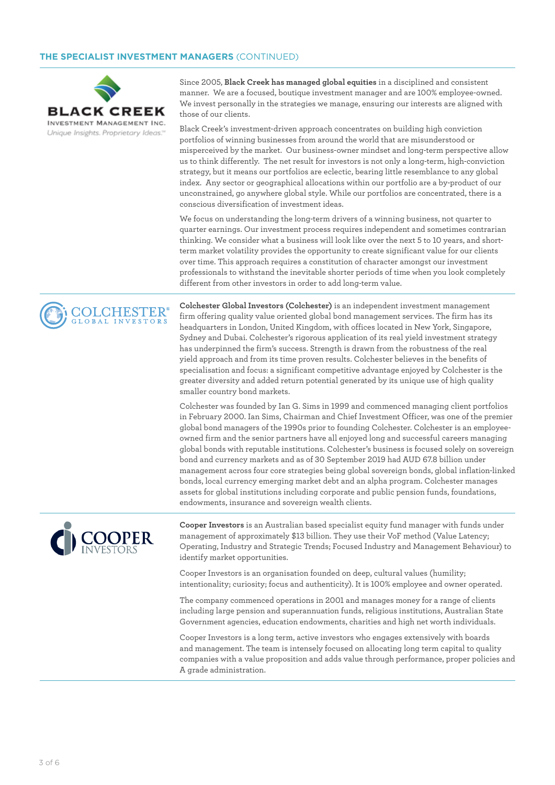

**COLCHESTER** OBAL INVESTORS

Since 2005, **Black Creek has managed global equities** in a disciplined and consistent manner. We are a focused, boutique investment manager and are 100% employee-owned. We invest personally in the strategies we manage, ensuring our interests are aligned with those of our clients.

Black Creek's investment-driven approach concentrates on building high conviction portfolios of winning businesses from around the world that are misunderstood or misperceived by the market. Our business-owner mindset and long-term perspective allow us to think differently. The net result for investors is not only a long-term, high-conviction strategy, but it means our portfolios are eclectic, bearing little resemblance to any global index. Any sector or geographical allocations within our portfolio are a by-product of our unconstrained, go anywhere global style. While our portfolios are concentrated, there is a conscious diversification of investment ideas.

We focus on understanding the long-term drivers of a winning business, not quarter to quarter earnings. Our investment process requires independent and sometimes contrarian thinking. We consider what a business will look like over the next 5 to 10 years, and shortterm market volatility provides the opportunity to create significant value for our clients over time. This approach requires a constitution of character amongst our investment professionals to withstand the inevitable shorter periods of time when you look completely different from other investors in order to add long-term value.

**Colchester Global Investors (Colchester)** is an independent investment management firm offering quality value oriented global bond management services. The firm has its headquarters in London, United Kingdom, with offices located in New York, Singapore, Sydney and Dubai. Colchester's rigorous application of its real yield investment strategy has underpinned the firm's success. Strength is drawn from the robustness of the real yield approach and from its time proven results. Colchester believes in the benefits of specialisation and focus: a significant competitive advantage enjoyed by Colchester is the greater diversity and added return potential generated by its unique use of high quality smaller country bond markets.

Colchester was founded by Ian G. Sims in 1999 and commenced managing client portfolios in February 2000. Ian Sims, Chairman and Chief Investment Officer, was one of the premier global bond managers of the 1990s prior to founding Colchester. Colchester is an employeeowned firm and the senior partners have all enjoyed long and successful careers managing global bonds with reputable institutions. Colchester's business is focused solely on sovereign bond and currency markets and as of 30 September 2019 had AUD 67.8 billion under management across four core strategies being global sovereign bonds, global inflation-linked bonds, local currency emerging market debt and an alpha program. Colchester manages assets for global institutions including corporate and public pension funds, foundations, endowments, insurance and sovereign wealth clients.



**Cooper Investors** is an Australian based specialist equity fund manager with funds under management of approximately \$13 billion. They use their VoF method (Value Latency; Operating, Industry and Strategic Trends; Focused Industry and Management Behaviour) to identify market opportunities.

Cooper Investors is an organisation founded on deep, cultural values (humility; intentionality; curiosity; focus and authenticity). It is 100% employee and owner operated.

The company commenced operations in 2001 and manages money for a range of clients including large pension and superannuation funds, religious institutions, Australian State Government agencies, education endowments, charities and high net worth individuals.

Cooper Investors is a long term, active investors who engages extensively with boards and management. The team is intensely focused on allocating long term capital to quality companies with a value proposition and adds value through performance, proper policies and A grade administration.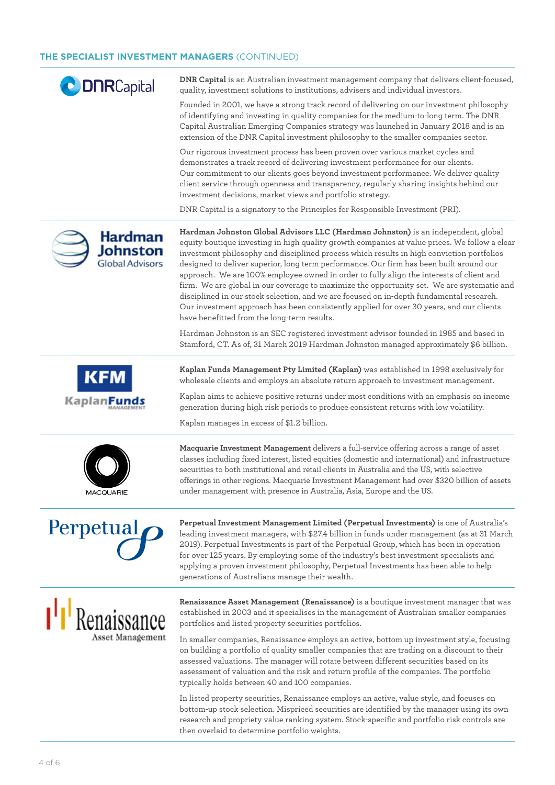| <b>CODORCapital</b>                           | DNR Capital is an Australian investment management company that delivers client-focused,<br>quality, investment solutions to institutions, advisers and individual investors.                                                                                                                                                                                                                                                                                                                                                                                                                                                                                                                                                                                                                               |
|-----------------------------------------------|-------------------------------------------------------------------------------------------------------------------------------------------------------------------------------------------------------------------------------------------------------------------------------------------------------------------------------------------------------------------------------------------------------------------------------------------------------------------------------------------------------------------------------------------------------------------------------------------------------------------------------------------------------------------------------------------------------------------------------------------------------------------------------------------------------------|
|                                               | Founded in 2001, we have a strong track record of delivering on our investment philosophy<br>of identifying and investing in quality companies for the medium-to-long term. The DNR<br>Capital Australian Emerging Companies strategy was launched in January 2018 and is an<br>extension of the DNR Capital investment philosophy to the smaller companies sector.                                                                                                                                                                                                                                                                                                                                                                                                                                         |
|                                               | Our rigorous investment process has been proven over various market cycles and<br>demonstrates a track record of delivering investment performance for our clients.<br>Our commitment to our clients goes beyond investment performance. We deliver quality<br>client service through openness and transparency, regularly sharing insights behind our<br>investment decisions, market views and portfolio strategy.                                                                                                                                                                                                                                                                                                                                                                                        |
|                                               | DNR Capital is a signatory to the Principles for Responsible Investment (PRI).                                                                                                                                                                                                                                                                                                                                                                                                                                                                                                                                                                                                                                                                                                                              |
| Hardman<br>Johnston<br><b>Global Advisors</b> | Hardman Johnston Global Advisors LLC (Hardman Johnston) is an independent, global<br>equity boutique investing in high quality growth companies at value prices. We follow a clear<br>investment philosophy and disciplined process which results in high conviction portfolios<br>designed to deliver superior, long term performance. Our firm has been built around our<br>approach. We are 100% employee owned in order to fully align the interests of client and<br>firm. We are global in our coverage to maximize the opportunity set. We are systematic and<br>disciplined in our stock selection, and we are focused on in-depth fundamental research.<br>Our investment approach has been consistently applied for over 30 years, and our clients<br>have benefitted from the long-term results. |
|                                               | Hardman Johnston is an SEC registered investment advisor founded in 1985 and based in<br>Stamford, CT. As of, 31 March 2019 Hardman Johnston managed approximately \$6 billion.                                                                                                                                                                                                                                                                                                                                                                                                                                                                                                                                                                                                                             |
|                                               | Kaplan Funds Management Pty Limited (Kaplan) was established in 1998 exclusively for<br>wholesale clients and employs an absolute return approach to investment management.                                                                                                                                                                                                                                                                                                                                                                                                                                                                                                                                                                                                                                 |
| <b>KaplanF</b>                                | Kaplan aims to achieve positive returns under most conditions with an emphasis on income<br>generation during high risk periods to produce consistent returns with low volatility.                                                                                                                                                                                                                                                                                                                                                                                                                                                                                                                                                                                                                          |
|                                               | Kaplan manages in excess of \$1.2 billion.                                                                                                                                                                                                                                                                                                                                                                                                                                                                                                                                                                                                                                                                                                                                                                  |
| <b>MACQUARIE</b>                              | Macquarie Investment Management delivers a full-service offering across a range of asset<br>classes including fixed interest, listed equities (domestic and international) and infrastructure<br>securities to both institutional and retail clients in Australia and the US, with selective<br>offerings in other regions. Macquarie Investment Management had over \$320 billion of assets<br>under management with presence in Australia, Asia, Europe and the US.                                                                                                                                                                                                                                                                                                                                       |
| Perpetual <sup>p</sup>                        | Perpetual Investment Management Limited (Perpetual Investments) is one of Australia's<br>leading investment managers, with \$27.4 billion in funds under management (as at 31 March<br>2019). Perpetual Investments is part of the Perpetual Group, which has been in operation<br>for over 125 years. By employing some of the industry's best investment specialists and<br>applying a proven investment philosophy, Perpetual Investments has been able to help<br>generations of Australians manage their wealth.                                                                                                                                                                                                                                                                                       |
| <sup>1</sup> Renaissance                      | Renaissance Asset Management (Renaissance) is a boutique investment manager that was<br>established in 2003 and it specialises in the management of Australian smaller companies<br>portfolios and listed property securities portfolios.                                                                                                                                                                                                                                                                                                                                                                                                                                                                                                                                                                   |
| Asset Management                              | In smaller companies, Renaissance employs an active, bottom up investment style, focusing<br>on building a portfolio of quality smaller companies that are trading on a discount to their<br>assessed valuations. The manager will rotate between different securities based on its<br>assessment of valuation and the risk and return profile of the companies. The portfolio<br>typically holds between 40 and 100 companies.                                                                                                                                                                                                                                                                                                                                                                             |
|                                               | In listed property securities, Renaissance employs an active, value style, and focuses on                                                                                                                                                                                                                                                                                                                                                                                                                                                                                                                                                                                                                                                                                                                   |

bottom-up stock selection. Mispriced securities are identified by the manager using its own research and propriety value ranking system. Stock-specific and portfolio risk controls are then overlaid to determine portfolio weights.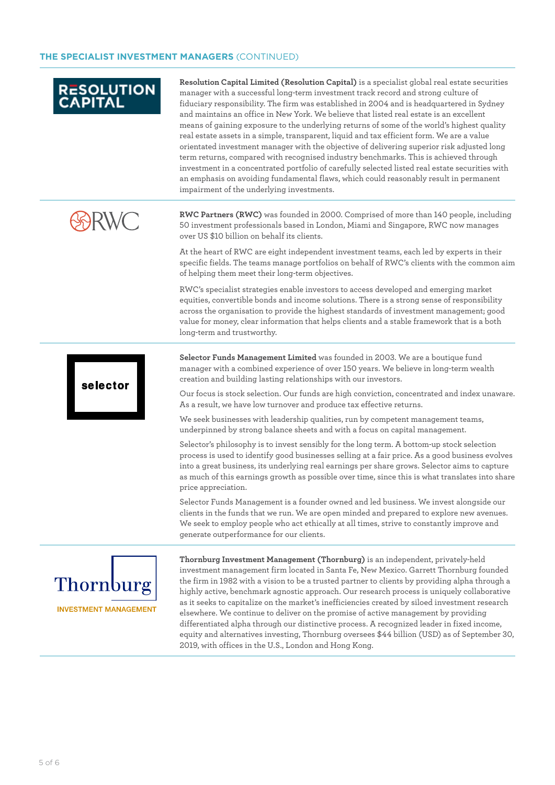# **RESOLUTION**

**Resolution Capital Limited (Resolution Capital)** is a specialist global real estate securities manager with a successful long-term investment track record and strong culture of fiduciary responsibility. The firm was established in 2004 and is headquartered in Sydney and maintains an office in New York. We believe that listed real estate is an excellent means of gaining exposure to the underlying returns of some of the world's highest quality real estate assets in a simple, transparent, liquid and tax efficient form. We are a value orientated investment manager with the objective of delivering superior risk adjusted long term returns, compared with recognised industry benchmarks. This is achieved through investment in a concentrated portfolio of carefully selected listed real estate securities with an emphasis on avoiding fundamental flaws, which could reasonably result in permanent impairment of the underlying investments.

**RWC Partners (RWC)** was founded in 2000. Comprised of more than 140 people, including 50 investment professionals based in London, Miami and Singapore, RWC now manages over US \$10 billion on behalf its clients.

At the heart of RWC are eight independent investment teams, each led by experts in their specific fields. The teams manage portfolios on behalf of RWC's clients with the common aim of helping them meet their long-term objectives.

RWC's specialist strategies enable investors to access developed and emerging market equities, convertible bonds and income solutions. There is a strong sense of responsibility across the organisation to provide the highest standards of investment management; good value for money, clear information that helps clients and a stable framework that is a both long-term and trustworthy.

**Selector Funds Management Limited** was founded in 2003. We are a boutique fund manager with a combined experience of over 150 years. We believe in long-term wealth creation and building lasting relationships with our investors.

Our focus is stock selection. Our funds are high conviction, concentrated and index unaware. As a result, we have low turnover and produce tax effective returns.

We seek businesses with leadership qualities, run by competent management teams, underpinned by strong balance sheets and with a focus on capital management.

Selector's philosophy is to invest sensibly for the long term. A bottom-up stock selection process is used to identify good businesses selling at a fair price. As a good business evolves into a great business, its underlying real earnings per share grows. Selector aims to capture as much of this earnings growth as possible over time, since this is what translates into share price appreciation.

Selector Funds Management is a founder owned and led business. We invest alongside our clients in the funds that we run. We are open minded and prepared to explore new avenues. We seek to employ people who act ethically at all times, strive to constantly improve and generate outperformance for our clients.



selector

**Thornburg Investment Management (Thornburg)** is an independent, privately-held investment management firm located in Santa Fe, New Mexico. Garrett Thornburg founded the firm in 1982 with a vision to be a trusted partner to clients by providing alpha through a highly active, benchmark agnostic approach. Our research process is uniquely collaborative as it seeks to capitalize on the market's inefficiencies created by siloed investment research elsewhere. We continue to deliver on the promise of active management by providing differentiated alpha through our distinctive process. A recognized leader in fixed income, equity and alternatives investing, Thornburg oversees \$44 billion (USD) as of September 30, 2019, with offices in the U.S., London and Hong Kong.